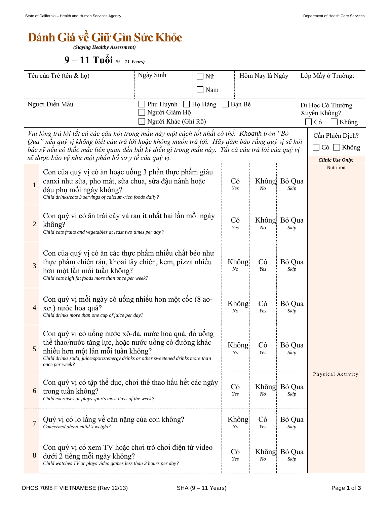## *<u>Bánh Giá về Giữ Gìn Sức Khỏe</u>*

*(Staying Healthy Assessment)*

 **–** *(9 – 11 Years)*

| Tên của Trẻ (tên & họ)                                                                                                                                                                                                                                                                                                                                    |                                                                                                                                                                                                                                                          | Ngày Sinh<br>Nữ |     |                      | Hôm Nay là Ngày    |                                                                            | Lớp Mấy ở Trường: |
|-----------------------------------------------------------------------------------------------------------------------------------------------------------------------------------------------------------------------------------------------------------------------------------------------------------------------------------------------------------|----------------------------------------------------------------------------------------------------------------------------------------------------------------------------------------------------------------------------------------------------------|-----------------|-----|----------------------|--------------------|----------------------------------------------------------------------------|-------------------|
|                                                                                                                                                                                                                                                                                                                                                           |                                                                                                                                                                                                                                                          |                 | Nam |                      |                    |                                                                            |                   |
| Người Điền Mẫu<br>Phụ Huynh □ Họ Hàng<br>Người Giám Hộ<br>Người Khác (Ghi Rõ)                                                                                                                                                                                                                                                                             |                                                                                                                                                                                                                                                          |                 |     | Bạn Bè               |                    | Đi Học Có Thường<br>Xuyên Không?<br>Có<br>Không                            |                   |
| Vui lòng trả lời tất cả các câu hỏi trong mẫu này một cách tốt nhất có thể. Khoanh tròn "Bỏ<br>Qua" nếu quý vị không biết câu trả lời hoặc không muốn trả lời.  Hãy đảm bảo rằng quý vị sẽ hỏi<br>bác sỹ nếu có thắc mắc liên quan đến bất kỳ điều gì trong mẫu này.  Tất cả câu trả lời của quý vị<br>sẽ được bảo vệ như một phần hồ sơ y tế của quý vị. |                                                                                                                                                                                                                                                          |                 |     |                      |                    | Cần Phiên Dịch?<br>$C\acute{o}$<br>$\Box$ Không<br><b>Clinic Use Only:</b> |                   |
| $\mathbf{1}$                                                                                                                                                                                                                                                                                                                                              | Con của quý vị có ăn hoặc uống 3 phần thực phẩm giàu<br>canxi như sữa, pho mát, sữa chua, sữa đậu nành hoặc<br>đậu phụ mỗi ngày không?<br>Child drinks/eats 3 servings of calcium-rich foods daily?                                                      |                 |     |                      | N <sub>O</sub>     | Không Bỏ Qua<br>Skip                                                       | Nutrition         |
| $\overline{c}$                                                                                                                                                                                                                                                                                                                                            | Con quý vị có ăn trái cây và rau ít nhất hai lần mỗi ngày<br>không?<br>Child eats fruits and vegetables at least two times per day?                                                                                                                      | Có<br>Yes       | No  | Không Bỏ Qua<br>Skip |                    |                                                                            |                   |
| 3                                                                                                                                                                                                                                                                                                                                                         | Con của quý vị có ăn các thực phẩm nhiều chất béo như<br>thực phẩm chiên rán, khoai tây chiên, kem, pizza nhiều<br>hơn một lần mỗi tuần không?<br>Child eats high fat foods more than once per week?                                                     |                 |     |                      | Có<br>Không<br>Yes | Bỏ Qua<br>Skip                                                             |                   |
| 4                                                                                                                                                                                                                                                                                                                                                         | Con quý vị mỗi ngày có uống nhiều hơn một cốc (8 ao-<br>xo.) nước hoa quả?<br>Child drinks more than one cup of juice per day?                                                                                                                           |                 |     |                      | Không<br>Có<br>Yes | Bỏ Qua<br>Skip                                                             |                   |
| 5                                                                                                                                                                                                                                                                                                                                                         | Con quý vị có uống nước xô-đa, nước hoa quả, đồ uống<br>thể thao/nước tăng lực, hoặc nước uống có đường khác<br>nhiều hơn một lần mỗi tuần không?<br>Child drinks soda, juice/sports/energy drinks or other sweetened drinks more than<br>once per week? |                 |     |                      | Không<br>Có<br>Yes | Bỏ Qua<br>Skip                                                             |                   |
| 6                                                                                                                                                                                                                                                                                                                                                         | Con quý vị có tập thể dục, chơi thể thao hầu hết các ngày<br>trong tuần không?<br>Child exercises or plays sports most days of the week?                                                                                                                 |                 |     | Có<br>Yes            | N <sub>O</sub>     | Không Bỏ Qua<br>Skip                                                       | Physical Activity |
| $\overline{7}$                                                                                                                                                                                                                                                                                                                                            | Quý vị có lo lắng về cân nặng của con không?<br>Concerned about child's weight?                                                                                                                                                                          |                 |     | Không<br>No          | Có<br>Yes          | Bỏ Qua<br>Skip                                                             |                   |
| 8                                                                                                                                                                                                                                                                                                                                                         | Con quý vị có xem TV hoặc chơi trò chơi điện tử video<br>dưới 2 tiếng mỗi ngày không?<br>Child watches TV or plays video games less than 2 hours per day?                                                                                                |                 |     | Có<br>Yes            | No                 | Không Bỏ Qua<br>Skip                                                       |                   |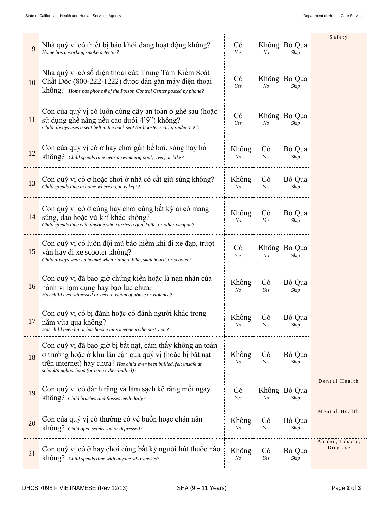| 9      | Nhà quý vị có thiết bị báo khói đang hoạt động không?<br>Home has a working smoke detector?                                                                                                                                                 |                         | Không<br>N <sub>O</sub> | Bỏ Qua<br>Skip | Safety                        |  |  |
|--------|---------------------------------------------------------------------------------------------------------------------------------------------------------------------------------------------------------------------------------------------|-------------------------|-------------------------|----------------|-------------------------------|--|--|
| 10     | Nhà quý vị có số điện thoại của Trung Tâm Kiểm Soát<br>Chất Độc (800-222-1222) được dán gần máy điện thoại<br>$kh\hat{0}$ ng? Home has phone # of the Poison Control Center posted by phone?                                                | Có<br>Yes               | Không<br>N <sub>O</sub> | Bỏ Qua<br>Skip |                               |  |  |
| 11     | Con của quý vị có luôn dùng dây an toàn ở ghề sau (hoặc<br>sử dụng ghế nâng nếu cao dưới 4'9") không?<br>Child always uses a seat belt in the back seat (or booster seat) if under 4'9"?                                                    | Có<br>Yes               | Không<br>$N_{O}$        | Bỏ Qua<br>Skip |                               |  |  |
| 12     | Con của quý vị có ở hay chơi gần bể bơi, sông hay hồ<br>không? Child spends time near a swimming pool, river, or lake?                                                                                                                      | Không<br>No             | Có<br>Yes               | Bỏ Qua<br>Skip |                               |  |  |
| 13     | Con quý vị có ở hoặc chơi ở nhà có cất giữ súng không?<br>Child spends time in home where a gun is kept?                                                                                                                                    | Không<br>N <sub>O</sub> | Có<br>Yes               | Bỏ Qua<br>Skip |                               |  |  |
| 14     | Con quý vị có ở cùng hay chơi cùng bất kỳ ai có mang<br>súng, dao hoặc vũ khí khác không?<br>Child spends time with anyone who carries a gun, knife, or other weapon?                                                                       | Không<br>No             | Có<br>Yes               | Bỏ Qua<br>Skip |                               |  |  |
| 15     | Con quý vị có luôn đội mũ bảo hiểm khi đi xe đạp, trượt<br>ván hay đi xe scooter không?<br>Child always wears a helmet when riding a bike, skateboard, or scooter?                                                                          | Có<br>Yes               | Không<br>$N_{O}$        |                |                               |  |  |
| 16     | Con quý vị đã bao giờ chứng kiến hoặc là nạn nhân của<br>hành vi lạm dụng hay bạo lực chưa?<br>Has child ever witnessed or been a victim of abuse or violence?                                                                              | Không<br>No             | Có<br>Yes               | Bỏ Qua<br>Skip |                               |  |  |
| 17     | Con quý vị có bị đánh hoặc có đánh người khác trong<br>năm vừa qua không?<br>Has child been hit or has he/she hit someone in the past year?                                                                                                 | Không<br>No             | Có<br>Yes               | Bỏ Qua<br>Skip |                               |  |  |
| 18     | Con quý vị đã bao giờ bị bắt nạt, cảm thấy không an toàn<br>ở trường hoặc ở khu lân cận của quý vị (hoặc bị bắt nạt<br>trên internet) hay chua? Has child ever been bullied, felt unsafe at<br>school/neighborhood (or been cyber-bullied)? | Không<br>No             | Có<br>Yes               | Bỏ Qua<br>Skip |                               |  |  |
| 19     | Con quý vị có đánh răng và làm sạch kẽ răng mỗi ngày<br>không? Child brushes and flosses teeth daily?                                                                                                                                       | Có<br>Yes               | Không<br>No             | Bỏ Qua<br>Skip | Dental Health                 |  |  |
| $20\,$ | Con của quý vị có thường có vẻ buồn hoặc chán nản<br>không? Child often seems sad or depressed?                                                                                                                                             | Không<br>No             | Có<br>Yes               | Bỏ Qua<br>Skip | Mental Health                 |  |  |
| 21     | Con quý vị có ở hay chơi cùng bất kỳ người hút thuốc nào<br>không? Child spends time with anyone who smokes?                                                                                                                                | Không<br>No             | Có<br>Yes               | Bỏ Qua<br>Skip | Alcohol, Tobacco,<br>Drug Use |  |  |